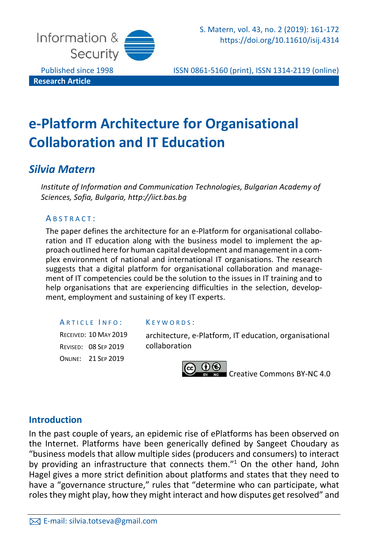

Published since 1998 ISSN 0861-5160 (print), ISSN 1314-2119 (online)

# **e-Platform Architecture for Organisational Collaboration and IT Education**

# *Silvia Matern*

*Institute of Information and Communication Technologies, Bulgarian Academy of Sciences, Sofia, Bulgaria, http://iict.bas.bg*

### A B S T R A C T :

The paper defines the architecture for an e-Platform for organisational collaboration and IT education along with the business model to implement the approach outlined here for human capital development and management in a complex environment of national and international IT organisations. The research suggests that a digital platform for organisational collaboration and management of IT competencies could be the solution to the issues in IT training and to help organisations that are experiencing difficulties in the selection, development, employment and sustaining of key IT experts.

A R T I C L E I N F O :

RECEIVED: 10 MAY 2019 REVISED: 08 SEP 2019 ONLINE: 21 SEP 2019

#### K E Y W O R D S :

architecture, e-Platform, IT education, organisational collaboration



Creative [Commons](https://creativecommons.org/licenses/by-nc/4.0/legalcode) BY-NC 4.0

## **Introduction**

In the past couple of years, an epidemic rise of ePlatforms has been observed on the Internet. Platforms have been generically defined by Sangeet Choudary as "business models that allow multiple sides (producers and consumers) to interact by providing an infrastructure that connects them."<sup>1</sup> On the other hand, John Hagel gives a more strict definition about platforms and states that they need to have a "governance structure," rules that "determine who can participate, what rolesthey might play, how they might interact and how disputes get resolved" and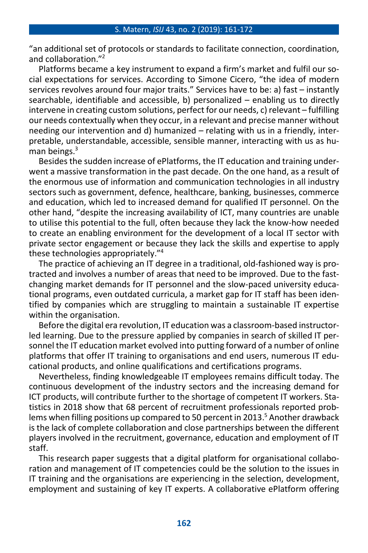"an additional set of protocols or standards to facilitate connection, coordination, and collaboration." 2

Platforms became a key instrument to expand a firm's market and fulfil our social expectations for services. According to Simone Cicero, "the idea of modern services revolves around four major traits." Services have to be: a) fast – instantly searchable, identifiable and accessible, b) personalized – enabling us to directly intervene in creating custom solutions, perfect for our needs, c) relevant – fulfilling our needs contextually when they occur, in a relevant and precise manner without needing our intervention and d) humanized – relating with us in a friendly, interpretable, understandable, accessible, sensible manner, interacting with us as human beings.<sup>3</sup>

Besides the sudden increase of ePlatforms, the IT education and training underwent a massive transformation in the past decade. On the one hand, as a result of the enormous use of information and communication technologies in all industry sectors such as government, defence, healthcare, banking, businesses, commerce and education, which led to increased demand for qualified IT personnel. On the other hand, "despite the increasing availability of ICT, many countries are unable to utilise this potential to the full, often because they lack the know-how needed to create an enabling environment for the development of a local IT sector with private sector engagement or because they lack the skills and expertise to apply these technologies appropriately." 4

The practice of achieving an IT degree in a traditional, old-fashioned way is protracted and involves a number of areas that need to be improved. Due to the fastchanging market demands for IT personnel and the slow-paced university educational programs, even outdated curricula, a market gap for IT staff has been identified by companies which are struggling to maintain a sustainable IT expertise within the organisation.

Before the digital era revolution, IT education was a classroom-based instructorled learning. Due to the pressure applied by companies in search of skilled IT personnel the IT education market evolved into putting forward of a number of online platforms that offer IT training to organisations and end users, numerous IT educational products, and online qualifications and certifications programs.

Nevertheless, finding knowledgeable IT employees remains difficult today. The continuous development of the industry sectors and the increasing demand for ICT products, will contribute further to the shortage of competent IT workers. Statistics in 2018 show that 68 percent of recruitment professionals reported problems when filling positions up compared to 50 percent in 2013.<sup>5</sup> Another drawback is the lack of complete collaboration and close partnerships between the different players involved in the recruitment, governance, education and employment of IT staff.

This research paper suggests that a digital platform for organisational collaboration and management of IT competencies could be the solution to the issues in IT training and the organisations are experiencing in the selection, development, employment and sustaining of key IT experts. A collaborative ePlatform offering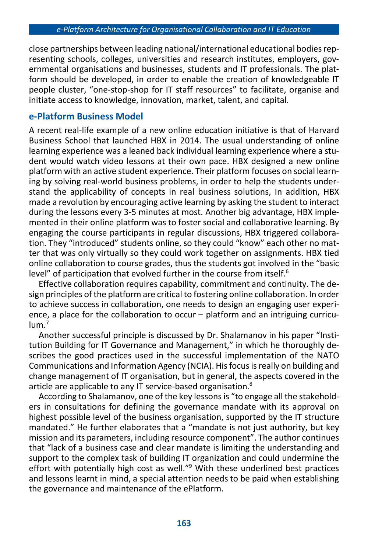close partnerships between leading national/international educational bodiesrepresenting schools, colleges, universities and research institutes, employers, governmental organisations and businesses, students and IT professionals. The platform should be developed, in order to enable the creation of knowledgeable IT people cluster, "one-stop-shop for IT staff resources" to facilitate, organise and initiate access to knowledge, innovation, market, talent, and capital.

## **e-Platform Business Model**

A recent real-life example of a new online education initiative is that of Harvard Business School that launched HBX in 2014. The usual understanding of online learning experience was a leaned back individual learning experience where a student would watch video lessons at their own pace. HBX designed a new online platform with an active student experience. Their platform focuses on social learning by solving real-world business problems, in order to help the students understand the applicability of concepts in real business solutions, In addition, HBX made a revolution by encouraging active learning by asking the student to interact during the lessons every 3-5 minutes at most. Another big advantage, HBX implemented in their online platform was to foster social and collaborative learning. By engaging the course participants in regular discussions, HBX triggered collaboration. They "introduced" students online, so they could "know" each other no matter that was only virtually so they could work together on assignments. HBX tied online collaboration to course grades, thus the students got involved in the "basic level" of participation that evolved further in the course from itself.<sup>6</sup>

Effective collaboration requires capability, commitment and continuity. The design principles of the platform are critical to fostering online collaboration. In order to achieve success in collaboration, one needs to design an engaging user experience, a place for the collaboration to occur – platform and an intriguing curriculum. 7

Another successful principle is discussed by Dr. Shalamanov in his paper "Institution Building for IT Governance and Management," in which he thoroughly describes the good practices used in the successful implementation of the NATO Communications and Information Agency (NCIA). Hisfocusisreally on building and change management of IT organisation, but in general, the aspects covered in the article are applicable to any IT service-based organisation. 8

According to Shalamanov, one of the key lessonsis "to engage all the stakeholders in consultations for defining the governance mandate with its approval on highest possible level of the business organisation, supported by the IT structure mandated." He further elaborates that a "mandate is not just authority, but key mission and its parameters, including resource component". The author continues that "lack of a business case and clear mandate is limiting the understanding and support to the complex task of building IT organization and could undermine the effort with potentially high cost as well."<sup>9</sup> With these underlined best practices and lessons learnt in mind, a special attention needs to be paid when establishing the governance and maintenance of the ePlatform.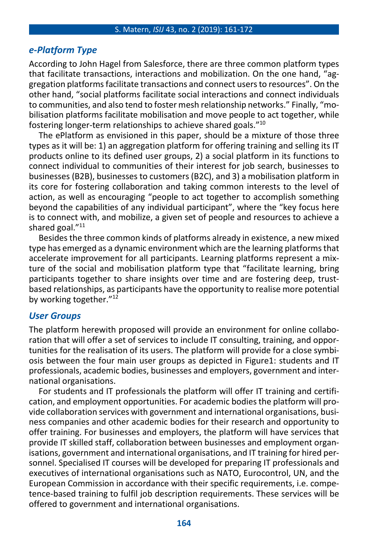#### S. Matern, *ISIJ* 43, no. 2 (2019): 161-172

## *e-Platform Type*

According to John Hagel from Salesforce, there are three common platform types that facilitate transactions, interactions and mobilization. On the one hand, "aggregation platformsfacilitate transactions and connect usersto resources". On the other hand, "social platforms facilitate social interactions and connect individuals to communities, and also tend to foster mesh relationship networks." Finally, "mobilisation platforms facilitate mobilisation and move people to act together, while fostering longer-term relationships to achieve shared goals." 10

The ePlatform as envisioned in this paper, should be a mixture of those three types as it will be: 1) an aggregation platform for offering training and selling its IT products online to its defined user groups, 2) a social platform in its functions to connect individual to communities of their interest for job search, businesses to businesses (B2B), businesses to customers (B2C), and 3) a mobilisation platform in its core for fostering collaboration and taking common interests to the level of action, as well as encouraging "people to act together to accomplish something beyond the capabilities of any individual participant", where the "key focus here is to connect with, and mobilize, a given set of people and resources to achieve a shared goal."<sup>11</sup>

Besides the three common kinds of platforms already in existence, a new mixed type has emerged as a dynamic environment which are the learning platformsthat accelerate improvement for all participants. Learning platforms represent a mixture of the social and mobilisation platform type that "facilitate learning, bring participants together to share insights over time and are fostering deep, trustbased relationships, as participants have the opportunity to realise more potential by working together." 12

## *User Groups*

The platform herewith proposed will provide an environment for online collaboration that will offer a set of services to include IT consulting, training, and opportunities for the realisation of its users. The platform will provide for a close symbiosis between the four main user groups as depicted in Figure1: students and IT professionals, academic bodies, businesses and employers, government and international organisations.

For students and IT professionals the platform will offer IT training and certification, and employment opportunities. For academic bodiesthe platform will provide collaboration services with government and international organisations, business companies and other academic bodies for their research and opportunity to offer training. For businesses and employers, the platform will have services that provide IT skilled staff, collaboration between businesses and employment organisations, government and international organisations, and IT training for hired personnel. Specialised IT courses will be developed for preparing IT professionals and executives of international organisations such as NATO, Eurocontrol, UN, and the European Commission in accordance with their specific requirements, i.e. competence-based training to fulfil job description requirements. These services will be offered to government and international organisations.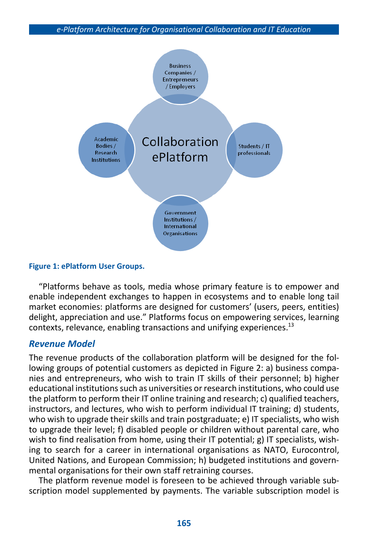

#### **Figure 1: ePlatform User Groups.**

"Platforms behave as tools, media whose primary feature is to empower and enable independent exchanges to happen in ecosystems and to enable long tail market economies: platforms are designed for customers' (users, peers, entities) delight, appreciation and use." Platforms focus on empowering services, learning contexts, relevance, enabling transactions and unifying experiences.<sup>13</sup>

## *Revenue Model*

The revenue products of the collaboration platform will be designed for the following groups of potential customers as depicted in Figure 2: a) business companies and entrepreneurs, who wish to train IT skills of their personnel; b) higher educational institutions such as universities or research institutions, who could use the platform to perform their IT online training and research; c) qualified teachers, instructors, and lectures, who wish to perform individual IT training; d) students, who wish to upgrade their skills and train postgraduate; e) IT specialists, who wish to upgrade their level; f) disabled people or children without parental care, who wish to find realisation from home, using their IT potential; g) IT specialists, wishing to search for a career in international organisations as NATO, Eurocontrol, United Nations, and European Commission; h) budgeted institutions and governmental organisations for their own staff retraining courses.

The platform revenue model is foreseen to be achieved through variable subscription model supplemented by payments. The variable subscription model is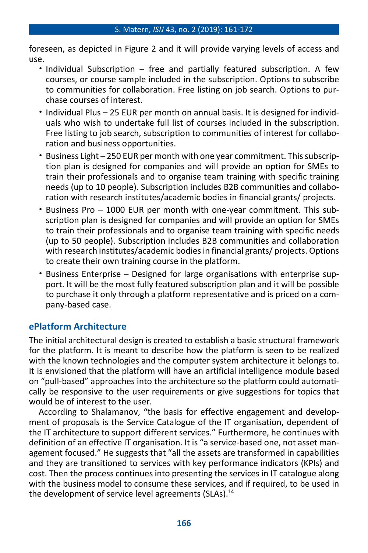foreseen, as depicted in Figure 2 and it will provide varying levels of access and use.

- Individual Subscription free and partially featured subscription. A few courses, or course sample included in the subscription. Options to subscribe to communities for collaboration. Free listing on job search. Options to purchase courses of interest.
- Individual Plus 25 EUR per month on annual basis. It is designed for individuals who wish to undertake full list of courses included in the subscription. Free listing to job search, subscription to communities of interest for collaboration and business opportunities.
- Business Light 250 EUR per month with one year commitment. Thissubscription plan is designed for companies and will provide an option for SMEs to train their professionals and to organise team training with specific training needs (up to 10 people). Subscription includes B2B communities and collaboration with research institutes/academic bodies in financial grants/ projects.
- Business Pro 1000 EUR per month with one-year commitment. This subscription plan is designed for companies and will provide an option for SMEs to train their professionals and to organise team training with specific needs (up to 50 people). Subscription includes B2B communities and collaboration with research institutes/academic bodies in financial grants/ projects. Options to create their own training course in the platform.
- Business Enterprise Designed for large organisations with enterprise support. It will be the most fully featured subscription plan and it will be possible to purchase it only through a platform representative and is priced on a company-based case.

# **ePlatform Architecture**

The initial architectural design is created to establish a basic structural framework for the platform. It is meant to describe how the platform is seen to be realized with the known technologies and the computer system architecture it belongs to. It is envisioned that the platform will have an artificial intelligence module based on "pull-based" approaches into the architecture so the platform could automatically be responsive to the user requirements or give suggestions for topics that would be of interest to the user.

According to Shalamanov, "the basis for effective engagement and development of proposals is the Service Catalogue of the IT organisation, dependent of the IT architecture to support different services." Furthermore, he continues with definition of an effective IT organisation. It is "a service-based one, not asset management focused." He suggests that "all the assets are transformed in capabilities and they are transitioned to services with key performance indicators (KPIs) and cost. Then the process continues into presenting the services in IT catalogue along with the business model to consume these services, and if required, to be used in the development of service level agreements (SLAs).<sup>14</sup>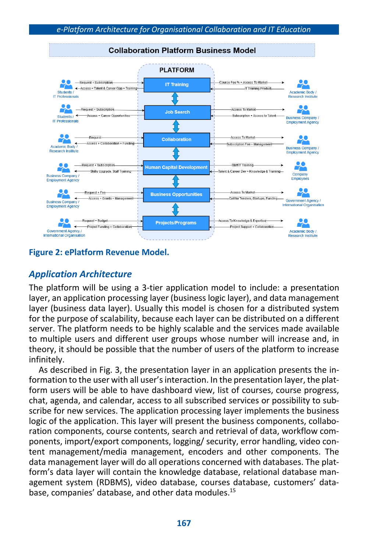

### **Figure 2: ePlatform Revenue Model.**

# *Application Architecture*

The platform will be using a 3-tier application model to include: a presentation layer, an application processing layer (business logic layer), and data management layer (business data layer). Usually this model is chosen for a distributed system for the purpose of scalability, because each layer can be distributed on a different server. The platform needs to be highly scalable and the services made available to multiple users and different user groups whose number will increase and, in theory, it should be possible that the number of users of the platform to increase infinitely.

As described in Fig. 3, the presentation layer in an application presents the information to the user with all user'sinteraction. In the presentation layer, the platform users will be able to have dashboard view, list of courses, course progress, chat, agenda, and calendar, access to all subscribed services or possibility to subscribe for new services. The application processing layer implements the business logic of the application. This layer will present the business components, collaboration components, course contents, search and retrieval of data, workflow components, import/export components, logging/ security, error handling, video content management/media management, encoders and other components. The data management layer will do all operations concerned with databases. The platform's data layer will contain the knowledge database, relational database management system (RDBMS), video database, courses database, customers' database, companies' database, and other data modules. 15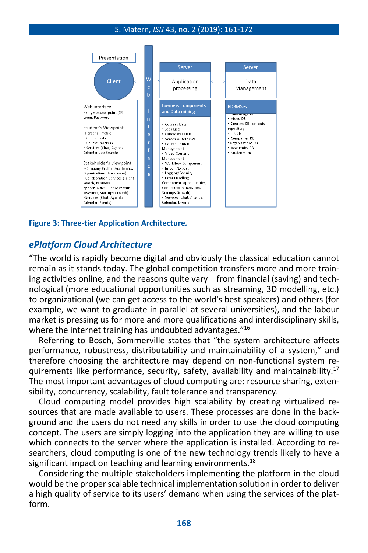#### S. Matern, *ISIJ* 43, no. 2 (2019): 161-172



#### **Figure 3: Three-tier Application Architecture***.*

## *ePlatform Cloud Architecture*

"The world is rapidly become digital and obviously the classical education cannot remain as it stands today. The global competition transfers more and more training activities online, and the reasons quite vary – from financial (saving) and technological (more educational opportunities such as streaming, 3D modelling, etc.) to organizational (we can get access to the world's best speakers) and others (for example, we want to graduate in parallel at several universities), and the labour market is pressing us for more and more qualifications and interdisciplinary skills, where the internet training has undoubted advantages."<sup>16</sup>

Referring to Bosch, Sommerville states that "the system architecture affects performance, robustness, distributability and maintainability of a system," and therefore choosing the architecture may depend on non-functional system requirements like performance, security, safety, availability and maintainability.<sup>17</sup> The most important advantages of cloud computing are: resource sharing, extensibility, concurrency, scalability, fault tolerance and transparency.

Cloud computing model provides high scalability by creating virtualized resources that are made available to users. These processes are done in the background and the users do not need any skills in order to use the cloud computing concept. The users are simply logging into the application they are willing to use which connects to the server where the application is installed. According to researchers, cloud computing is one of the new technology trends likely to have a significant impact on teaching and learning environments. 18

Considering the multiple stakeholders implementing the platform in the cloud would be the properscalable technical implementation solution in orderto deliver a high quality of service to its users' demand when using the services of the platform.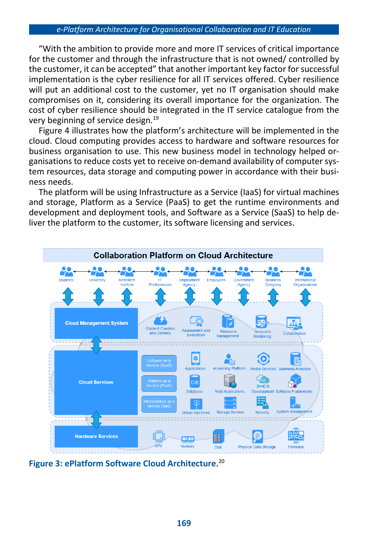"With the ambition to provide more and more IT services of critical importance for the customer and through the infrastructure that is not owned/ controlled by the customer, it can be accepted" that another important key factor for successful implementation is the cyber resilience for all IT services offered. Cyber resilience will put an additional cost to the customer, yet no IT organisation should make compromises on it, considering its overall importance for the organization. The cost of cyber resilience should be integrated in the IT service catalogue from the very beginning of service design. 19

Figure 4 illustrates how the platform's architecture will be implemented in the cloud. Cloud computing provides access to hardware and software resources for business organisation to use. This new business model in technology helped organisations to reduce costs yet to receive on-demand availability of computer system resources, data storage and computing power in accordance with their business needs.

The platform will be using Infrastructure as a Service (IaaS) for virtual machines and storage, Platform as a Service (PaaS) to get the runtime environments and development and deployment tools, and Software as a Service (SaaS) to help deliver the platform to the customer, its software licensing and services.



**Figure 3: ePlatform Software Cloud Architecture.** 20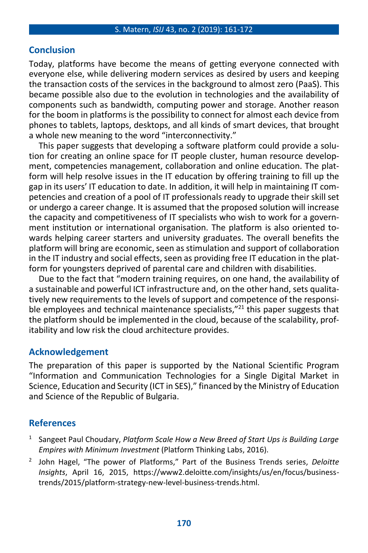# **Conclusion**

Today, platforms have become the means of getting everyone connected with everyone else, while delivering modern services as desired by users and keeping the transaction costs of the services in the background to almost zero (PaaS). This became possible also due to the evolution in technologies and the availability of components such as bandwidth, computing power and storage. Another reason for the boom in platforms is the possibility to connect for almost each device from phones to tablets, laptops, desktops, and all kinds of smart devices, that brought a whole new meaning to the word "interconnectivity."

This paper suggests that developing a software platform could provide a solution for creating an online space for IT people cluster, human resource development, competencies management, collaboration and online education. The platform will help resolve issues in the IT education by offering training to fill up the gap in its users' IT education to date. In addition, it will help in maintaining IT competencies and creation of a pool of IT professionals ready to upgrade their skill set or undergo a career change. It is assumed that the proposed solution will increase the capacity and competitiveness of IT specialists who wish to work for a government institution or international organisation. The platform is also oriented towards helping career starters and university graduates. The overall benefits the platform will bring are economic, seen as stimulation and support of collaboration in the IT industry and social effects, seen as providing free IT education in the platform for youngsters deprived of parental care and children with disabilities.

Due to the fact that "modern training requires, on one hand, the availability of a sustainable and powerful ICT infrastructure and, on the other hand, sets qualitatively new requirements to the levels of support and competence of the responsible employees and technical maintenance specialists,"<sup>21</sup> this paper suggests that the platform should be implemented in the cloud, because of the scalability, profitability and low risk the cloud architecture provides.

## **Acknowledgement**

The preparation of this paper is supported by the National Scientific Program "Information and Communication Technologies for a Single Digital Market in Science, Education and Security (ICT in SES)," financed by the Ministry of Education and Science of the Republic of Bulgaria.

# **References**

- 1 Sangeet Paul Choudary, *Platform Scale How a New Breed of Start Ups is Building Large Empires with Minimum Investment* (Platform Thinking Labs, 2016).
- 2 John Hagel, "The power of Platforms," Part of the Business Trends series, *Deloitte Insights*, April 16, 2015, https://www2.deloitte.com/insights/us/en/focus/businesstrends/2015/platform-strategy-new-level-business-trends.html.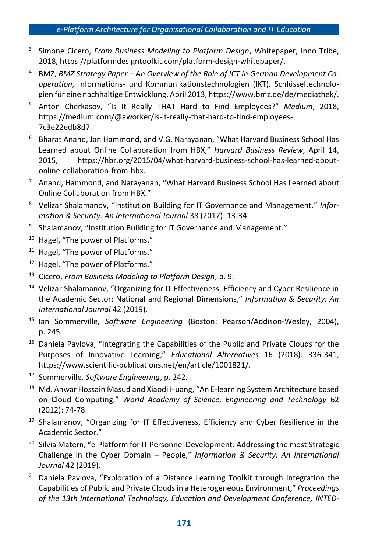- 3 Simone Cicero, *From Business Modeling to Platform Design*, Whitepaper, Inno Tribe, 2018, https://platformdesigntoolkit.com/platform-design-whitepaper/.
- <sup>4</sup> BMZ, *BMZ Strategy Paper – An Overview of the Role of ICT in German Development Cooperation*, Informations- und Kommunikationstechnologien (IKT). Schlüsseltechnologien für eine nachhaltige Entwicklung, April 2013, https://www.bmz.de/de/mediathek/.
- <sup>5</sup> Anton Cherkasov, "Is It Really THAT Hard to Find Employees?" *Medium*, 2018, https://medium.com/@aworker/is-it-really-that-hard-to-find-employees-7c3e22edb8d7.
- <sup>6</sup> Bharat Anand, Jan Hammond, and V.G. Narayanan, "What Harvard Business School Has Learned about Online Collaboration from HBX," *Harvard Business Review*, April 14, 2015, https://hbr.org/2015/04/what-harvard-business-school-has-learned-aboutonline-collaboration-from-hbx.
- $7$  Anand, Hammond, and Narayanan, "What Harvard Business School Has Learned about Online Collaboration from HBX."
- <sup>8</sup> Velizar Shalamanov, "Institution Building for IT Governance and Management," *Information & Security: An International Journal* 38 (2017): 13-34.
- 9 Shalamanov, "Institution Building for IT Governance and Management."
- <sup>10</sup> Hagel, "The power of Platforms."
- <sup>11</sup> Hagel, "The power of Platforms."
- <sup>12</sup> Hagel, "The power of Platforms."
- <sup>13</sup> Cicero, *From Business Modeling to Platform Design*, p. 9.
- <sup>14</sup> Velizar Shalamanov, "Organizing for IT Effectiveness, Efficiency and Cyber Resilience in the Academic Sector: National and Regional Dimensions," *Information & Security: An International Journal* 42 (2019).
- <sup>15</sup> Ian Sommerville, *Software Engineering* (Boston: Pearson/Addison-Wesley, 2004), p. 245.
- <sup>16</sup> Daniela Pavlova, "Integrating the Capabilities of the Public and Private Clouds for the Purposes of Innovative Learning," *Educational Alternatives* 16 (2018): 336-341, https://www.scientific-publications.net/en/article/1001821/.
- <sup>17</sup> Sommerville, *Software Engineering*, p. 242.
- <sup>18</sup> Md. Anwar Hossain Masud and Xiaodi Huang, "An E-learning System Architecture based on Cloud Computing," *World Academy of Science, Engineering and Technology* 62 (2012): 74-78.
- <sup>19</sup> Shalamanov, "Organizing for IT Effectiveness, Efficiency and Cyber Resilience in the Academic Sector."
- <sup>20</sup> Silvia Matern, "e-Platform for IT Personnel Development: Addressing the most Strategic Challenge in the Cyber Domain – People," *Information & Security: An International Journal* 42 (2019).
- $21$  Daniela Pavlova, "Exploration of a Distance Learning Toolkit through Integration the Capabilities of Public and Private Clouds in a Heterogeneous Environment," *Proceedings of the 13th International Technology, Education and Development Conference, INTED-*